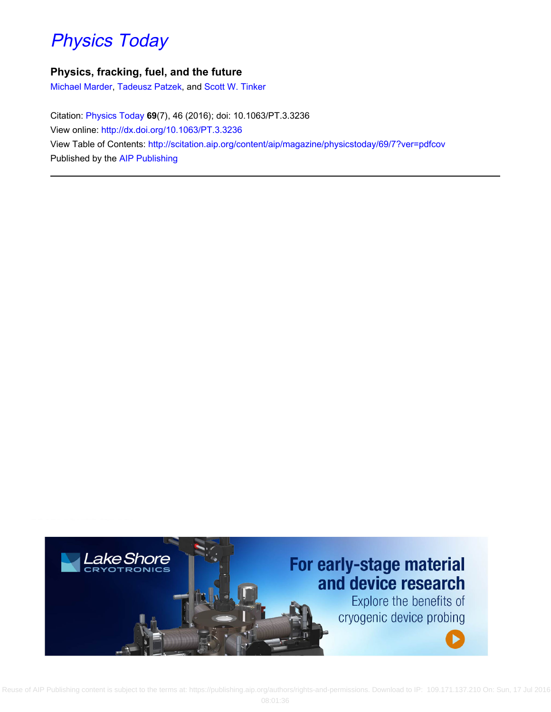## [Physics Today](http://scitation.aip.org/content/aip/magazine/physicstoday?ver=pdfcov)

### **Physics, fracking, fuel, and the future**

[Michael Marder,](http://scitation.aip.org/search?value1=Michael+Marder&option1=author) [Tadeusz Patzek](http://scitation.aip.org/search?value1=Tadeusz+Patzek&option1=author), and [Scott W. Tinker](http://scitation.aip.org/search?value1=Scott+W.+Tinker&option1=author)

Citation: [Physics Today](http://scitation.aip.org/content/aip/magazine/physicstoday?ver=pdfcov) **69**(7), 46 (2016); doi: 10.1063/PT.3.3236 View online: <http://dx.doi.org/10.1063/PT.3.3236> View Table of Contents: <http://scitation.aip.org/content/aip/magazine/physicstoday/69/7?ver=pdfcov> Published by the [AIP Publishing](http://scitation.aip.org/content/aip?ver=pdfcov)



Reuse of AIP Publishing content is subject to the terms at: https://publishing.aip.org/authors/rights-and-permissions. Download to IP: 109.171.137.210 On: Sun, 17 Jul 2016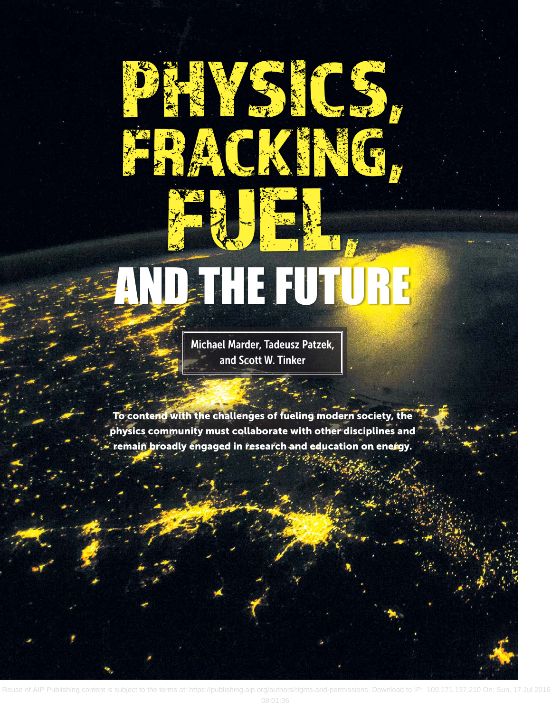# AND THE FUTURE

PHYSICS,

FRACK SER

RACAIN

Michael Marder, Tadeusz Patzek, and Scott W. Tinker

**To contend with the challenges of fueling modern society, the physics community must collaborate with other disciplines and remain broadly engaged in research and education on energy.**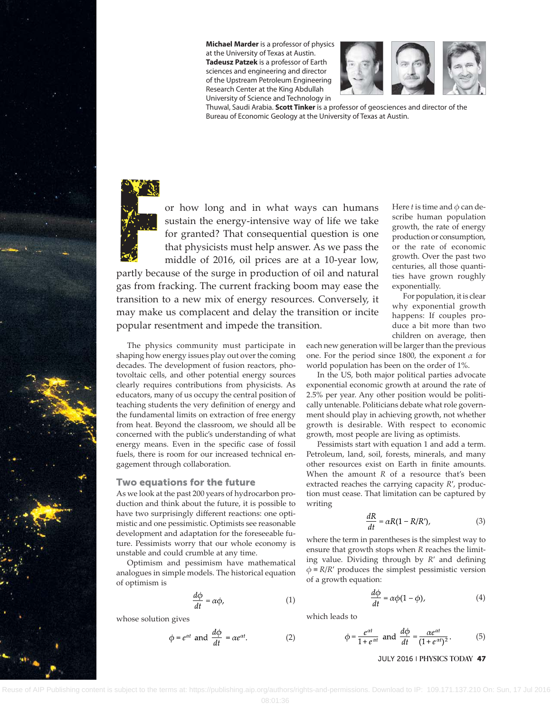



Thuwal, Saudi Arabia. **Scott Tinker** is a professor of geosciences and director of the Bureau of Economic Geology at the University of Texas at Austin.



F  $\frac{1}{2}$  or how long and in what ways can humans<br>sustain the energy-intensive way of life we take<br>for granted? That consequential question is one<br>that physicists must help answer. As we pass the<br>middle of 2016 oil pric sustain the energy-intensive way of life we take for granted? That consequential question is one that physicists must help answer. As we pass the middle of 2016, oil prices are at a 10-year low,

partly because of the surge in production of oil and natural gas from fracking. The current fracking boom may ease the transition to a new mix of energy resources. Conversely, it may make us complacent and delay the transition or incite popular resentment and impede the transition.

The physics community must participate in shaping how energy issues play out over the coming decades. The development of fusion reactors, photovoltaic cells, and other potential energy sources clearly requires contributions from physicists. As educators, many of us occupy the central position of teaching students the very definition of energy and the fundamental limits on extraction of free energy from heat. Beyond the classroom, we should all be concerned with the public's understanding of what energy means. Even in the specific case of fossil fuels, there is room for our increased technical engagement through collaboration.

#### **Two equations for the future**

As we look at the past 200 years of hydrocarbon production and think about the future, it is possible to have two surprisingly different reactions: one optimistic and one pessimistic. Optimists see reasonable development and adaptation for the foreseeable future. Pessimists worry that our whole economy is unstable and could crumble at any time.

Optimism and pessimism have mathematical analogues in simple models. The historical equation of optimism is

$$
\frac{d\phi}{dt} = \alpha \phi,\tag{1}
$$

whose solution gives

$$
\phi = e^{\alpha t} \text{ and } \frac{d\phi}{dt} = \alpha e^{\alpha t}.
$$
 (2)

Here *t* is time and  $\phi$  can describe human population growth, the rate of energy production or consumption, or the rate of economic growth. Over the past two centuries, all those quantities have grown roughly exponentially.

For population, it is clear why exponential growth happens: If couples produce a bit more than two children on average, then

each new generation will be larger than the previous one. For the period since 1800, the exponent *α* for world population has been on the order of 1%.

In the US, both major political parties advocate exponential economic growth at around the rate of 2.5% per year. Any other position would be politically untenable. Politicians debate what role government should play in achieving growth, not whether growth is desirable. With respect to economic growth, most people are living as optimists.

Pessimists start with equation 1 and add a term. Petroleum, land, soil, forests, minerals, and many other resources exist on Earth in finite amounts. When the amount *R* of a resource that's been extracted reaches the carrying capacity *R*′, production must cease. That limitation can be captured by writing

$$
\frac{dR}{dt} = \alpha R(1 - R/R'),\tag{3}
$$

where the term in parentheses is the simplest way to ensure that growth stops when *R* reaches the limiting value. Dividing through by *R*′ and defining  $\phi$  = *R*/*R*′ produces the simplest pessimistic version of a growth equation:

$$
\frac{d\phi}{dt} = \alpha \phi (1 - \phi),\tag{4}
$$

which leads to

$$
\phi = \frac{e^{\alpha t}}{1 + e^{\alpha t}} \text{ and } \frac{d\phi}{dt} = \frac{\alpha e^{\alpha t}}{(1 + e^{\alpha t})^2}.
$$
 (5)

#### JULY 2016 | **PHYSICS TODAY 47**

of AIP Publishing content is subject to the terms at: https://publishing.aip.org/authors/rights-and-permissions. Download to IP: 109.171.137.210 On: Sun, 17 Jul 2016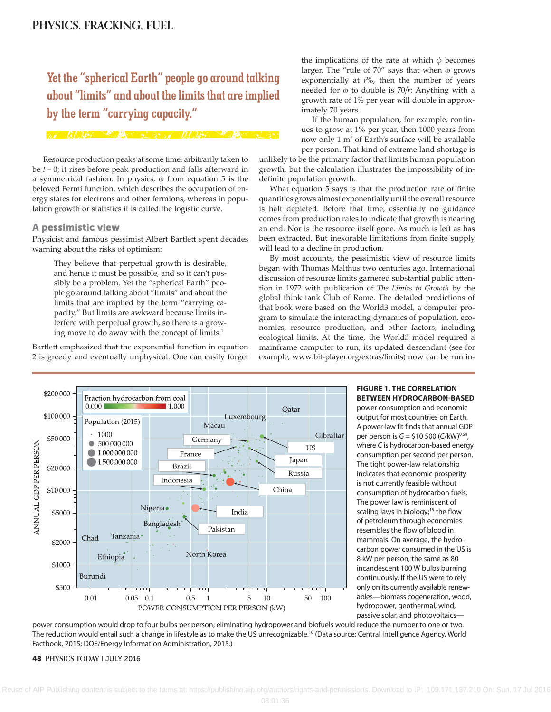**Yet the "spherical Earth" people go around talking about "limits" and about the limits that are implied<br>by the term "carrying capacity."**<br>All the limits of the second that the second the second the second that the second the second the second the second the second the sec **by the term "carrying capacity."** 

Resource production peaks at some time, arbitrarily taken to be *t* = 0; it rises before peak production and falls afterward in a symmetrical fashion. In physics,  $\phi$  from equation 5 is the beloved Fermi function, which describes the occupation of energy states for electrons and other fermions, whereas in population growth or statistics it is called the logistic curve.

#### **A pessimistic view**

Physicist and famous pessimist Albert Bartlett spent decades warning about the risks of optimism:

They believe that perpetual growth is desirable, and hence it must be possible, and so it can't possibly be a problem. Yet the "spherical Earth" people go around talking about "limits" and about the limits that are implied by the term "carrying capacity." But limits are awkward because limits interfere with perpetual growth, so there is a growing move to do away with the concept of limits.<sup>1</sup>

Bartlett emphasized that the exponential function in equation 2 is greedy and eventually unphysical. One can easily forget the implications of the rate at which  $\phi$  becomes larger. The "rule of 70" says that when *ϕ* grows exponentially at *r*%, then the number of years needed for  $\phi$  to double is 70/*r*: Anything with a growth rate of 1% per year will double in approximately 70 years.

If the human population, for example, continues to grow at 1% per year, then 1000 years from now only 1 m2 of Earth's surface will be available per person. That kind of extreme land shortage is

unlikely to be the primary factor that limits human population growth, but the calculation illustrates the impossibility of indefinite population growth.

What equation 5 says is that the production rate of finite quantities grows almost exponentially until the overall resource is half depleted. Before that time, essentially no guidance comes from production rates to indicate that growth is nearing an end. Nor is the resource itself gone. As much is left as has been extracted. But inexorable limitations from finite supply will lead to a decline in production.

By most accounts, the pessimistic view of resource limits began with Thomas Malthus two centuries ago. International discussion of resource limits garnered substantial public attention in 1972 with publication of *The Limits to Growth* by the global think tank Club of Rome. The detailed predictions of that book were based on the World3 model, a computer program to simulate the interacting dynamics of population, economics, resource production, and other factors, including ecological limits. At the time, the World3 model required a mainframe computer to run; its updated descendant (see for example, www.bit-player.org/extras/limits) now can be run in-



**FIGURE 1. THE CORRELATION BETWEEN HYDROCARBON-BASED**

power consumption and economic output for most countries on Earth. A power-law fit finds that annual GDP per person is *G* = \$10 500 (*C*/kW)<sup>0.64</sup>, where *C* is hydrocarbon-based energy consumption per second per person. The tight power-law relationship indicates that economic prosperity is not currently feasible without consumption of hydrocarbon fuels. The power law is reminiscent of scaling laws in biology; $15$  the flow of petroleum through economies resembles the flow of blood in mammals. On average, the hydrocarbon power consumed in the US is 8 kW per person, the same as 80 incandescent 100 W bulbs burning continuously. If the US were to rely only on its currently available renewables—biomass cogeneration, wood, hydropower, geothermal, wind, passive solar, and photovoltaics—

power consumption would drop to four bulbs per person; eliminating hydropower and biofuels would reduce the number to one or two. The reduction would entail such a change in lifestyle as to make the US unrecognizable.<sup>16</sup> (Data source: Central Intelligence Agency, World Factbook, 2015; DOE/Energy Information Administration, 2015.)

#### **48 PHYSICS TODAY** | JULY 2016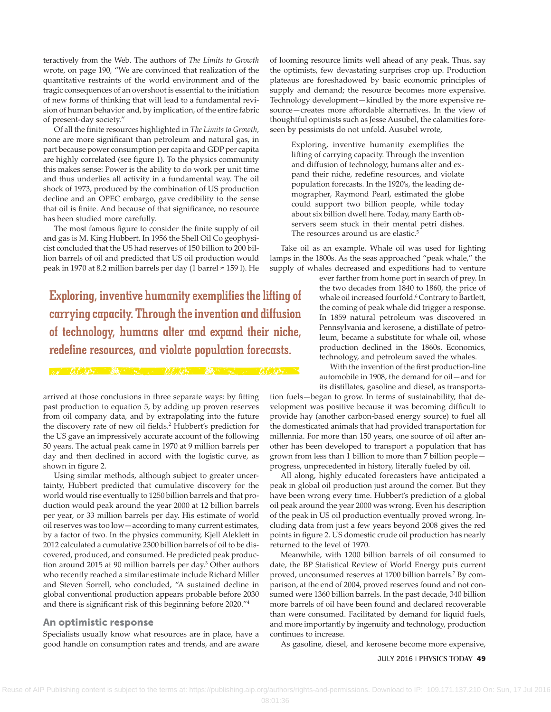teractively from the Web. The authors of *The Limits to Growth* wrote, on page 190, "We are convinced that realization of the quantitative restraints of the world environment and of the tragic consequences of an overshoot is essential to the initiation of new forms of thinking that will lead to a fundamental revision of human behavior and, by implication, of the entire fabric of present-day society."

Of all the finite resources highlighted in *The Limits to Growth*, none are more significant than petroleum and natural gas, in part because power consumption per capita and GDP per capita are highly correlated (see figure 1). To the physics community this makes sense: Power is the ability to do work per unit time and thus underlies all activity in a fundamental way. The oil shock of 1973, produced by the combination of US production decline and an OPEC embargo, gave credibility to the sense that oil is finite. And because of that significance, no resource has been studied more carefully.

The most famous figure to consider the finite supply of oil and gas is M. King Hubbert. In 1956 the Shell Oil Co geophysicist concluded that the US had reserves of 150 billion to 200 billion barrels of oil and predicted that US oil production would peak in 1970 at 8.2 million barrels per day (1 barrel ≈ 159 l). He

**Exploring, inventive humanity exemplifies the lifting of carrying capacity. Through the invention and diffusion of technology, humans alter and expand their niche,**  ———— **redefine resources, and violate population forecasts.**

arrived at those conclusions in three separate ways: by fitting past production to equation 5, by adding up proven reserves from oil company data, and by extrapolating into the future the discovery rate of new oil fields.<sup>2</sup> Hubbert's prediction for the US gave an impressively accurate account of the following 50 years. The actual peak came in 1970 at 9 million barrels per day and then declined in accord with the logistic curve, as shown in figure 2.

Using similar methods, although subject to greater uncertainty, Hubbert predicted that cumulative discovery for the world would rise eventually to 1250 billion barrels and that production would peak around the year 2000 at 12 billion barrels per year, or 33 million barrels per day. His estimate of world oil reserves was too low—according to many current estimates, by a factor of two. In the physics community, Kjell Aleklett in 2012 calculated a cumulative 2300 billion barrels of oil to be discovered, produced, and consumed. He predicted peak production around 2015 at 90 million barrels per day.<sup>3</sup> Other authors who recently reached a similar estimate include Richard Miller and Steven Sorrell, who concluded, "A sustained decline in global conventional production appears probable before 2030 and there is significant risk of this beginning before 2020."4

#### **An optimistic response**

Specialists usually know what resources are in place, have a good handle on consumption rates and trends, and are aware of looming resource limits well ahead of any peak. Thus, say the optimists, few devastating surprises crop up. Production plateaus are foreshadowed by basic economic principles of supply and demand; the resource becomes more expensive. Technology development—kindled by the more expensive resource—creates more affordable alternatives. In the view of thoughtful optimists such as Jesse Ausubel, the calamities foreseen by pessimists do not unfold. Ausubel wrote,

Exploring, inventive humanity exemplifies the lifting of carrying capacity. Through the invention and diffusion of technology, humans alter and expand their niche, redefine resources, and violate population forecasts. In the 1920's, the leading demographer, Raymond Pearl, estimated the globe could support two billion people, while today about six billion dwell here. Today, many Earth observers seem stuck in their mental petri dishes. The resources around us are elastic.<sup>5</sup>

Take oil as an example. Whale oil was used for lighting lamps in the 1800s. As the seas approached "peak whale," the supply of whales decreased and expeditions had to venture

> ever farther from home port in search of prey. In the two decades from 1840 to 1860, the price of whale oil increased fourfold.<sup>6</sup> Contrary to Bartlett, the coming of peak whale did trigger a response. In 1859 natural petroleum was discovered in Pennsylvania and kerosene, a distillate of petroleum, became a substitute for whale oil, whose production declined in the 1860s. Economics, technology, and petroleum saved the whales.

> With the invention of the first production-line automobile in 1908, the demand for oil—and for its distillates, gasoline and diesel, as transporta-

tion fuels—began to grow. In terms of sustainability, that development was positive because it was becoming difficult to provide hay (another carbon-based energy source) to fuel all the domesticated animals that had provided transportation for millennia. For more than 150 years, one source of oil after another has been developed to transport a population that has grown from less than 1 billion to more than 7 billion people progress, unprecedented in history, literally fueled by oil.

All along, highly educated forecasters have anticipated a peak in global oil production just around the corner. But they have been wrong every time. Hubbert's prediction of a global oil peak around the year 2000 was wrong. Even his description of the peak in US oil production eventually proved wrong. Including data from just a few years beyond 2008 gives the red points in figure 2. US domestic crude oil production has nearly returned to the level of 1970.

Meanwhile, with 1200 billion barrels of oil consumed to date, the BP Statistical Review of World Energy puts current proved, unconsumed reserves at 1700 billion barrels.7 By comparison, at the end of 2004, proved reserves found and not consumed were 1360 billion barrels. In the past decade, 340 billion more barrels of oil have been found and declared recoverable than were consumed. Facilitated by demand for liquid fuels, and more importantly by ingenuity and technology, production continues to increase.

As gasoline, diesel, and kerosene become more expensive,

JULY 2016 | **PHYSICS TODAY 49**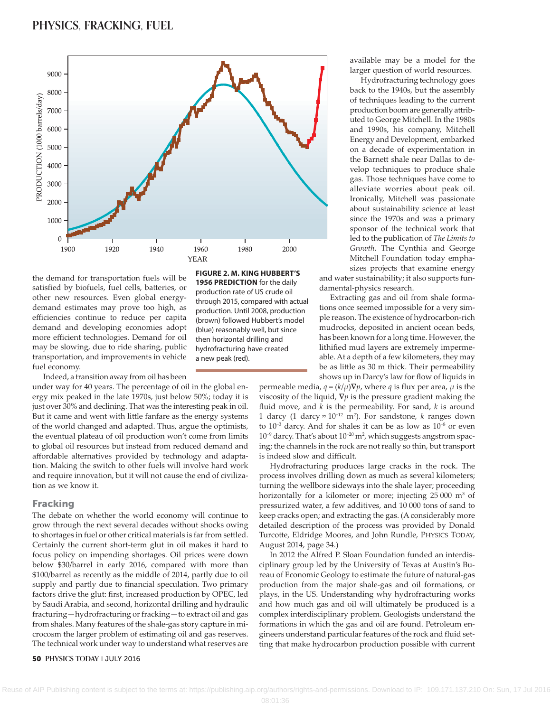

the demand for transportation fuels will be satisfied by biofuels, fuel cells, batteries, or other new resources. Even global energy demand estimates may prove too high, as efficiencies continue to reduce per capita demand and developing economies adopt more efficient technologies. Demand for oil may be slowing, due to ride sharing, public transportation, and improvements in vehicle fuel economy.

Indeed, a transition away from oil has been

under way for 40 years. The percentage of oil in the global energy mix peaked in the late 1970s, just below 50%; today it is just over 30% and declining. That was the interesting peak in oil. But it came and went with little fanfare as the energy systems of the world changed and adapted. Thus, argue the optimists, the eventual plateau of oil production won't come from limits to global oil resources but instead from reduced demand and affordable alternatives provided by technology and adaptation. Making the switch to other fuels will involve hard work and require innovation, but it will not cause the end of civilization as we know it.

#### **Fracking**

The debate on whether the world economy will continue to grow through the next several decades without shocks owing to shortages in fuel or other critical materials is far from settled. Certainly the current short-term glut in oil makes it hard to focus policy on impending shortages. Oil prices were down below \$30/barrel in early 2016, compared with more than \$100/barrel as recently as the middle of 2014, partly due to oil supply and partly due to financial speculation. Two primary factors drive the glut: first, increased production by OPEC, led by Saudi Arabia, and second, horizontal drilling and hydraulic fracturing—hydrofracturing or fracking—to extract oil and gas from shales. Many features of the shale-gas story capture in microcosm the larger problem of estimating oil and gas reserves. The technical work under way to understand what reserves are

#### **50 PHYSICS TODAY** | JULY 2016

**FIGURE 2. M. KING HUBBERT'S**

**1956 PREDICTION** for the daily production rate of US crude oil through 2015, compared with actual production. Until 2008, production (brown) followed Hubbert's model (blue) reasonably well, but since then horizontal drilling and hydrofracturing have created a new peak (red).

> permeable media,  $q = (k/\mu)\nabla p$ , where *q* is flux per area,  $\mu$  is the viscosity of the liquid, **∇***p* is the pressure gradient making the fluid move, and *k* is the permeability. For sand, *k* is around 1 darcy (1 darcy ≈ 10−12 m2 ). For sandstone, *k* ranges down to 10−3 darcy. And for shales it can be as low as 10−8 or even 10−9 darcy. That's about 10−20 m2 , which suggests angstrom spacing; the channels in the rock are not really so thin, but transport is indeed slow and difficult.

> Hydrofracturing produces large cracks in the rock. The process involves drilling down as much as several kilometers; turning the wellbore sideways into the shale layer; proceeding horizontally for a kilometer or more; injecting 25 000 m<sup>3</sup> of pressurized water, a few additives, and 10 000 tons of sand to keep cracks open; and extracting the gas. (A considerably more detailed description of the process was provided by Donald Turcotte, Eldridge Moores, and John Rundle, PHYSICS TODAY, August 2014, page 34.)

> In 2012 the Alfred P. Sloan Foundation funded an interdisciplinary group led by the University of Texas at Austin's Bureau of Economic Geology to estimate the future of natural-gas production from the major shale-gas and oil formations, or plays, in the US. Understanding why hydrofracturing works and how much gas and oil will ultimately be produced is a complex interdisciplinary problem. Geologists understand the formations in which the gas and oil are found. Petroleum engineers understand particular features of the rock and fluid setting that make hydrocarbon production possible with current

available may be a model for the larger question of world resources.

Hydrofracturing technology goes back to the 1940s, but the assembly of techniques leading to the current production boom are generally attributed to George Mitchell. In the 1980s and 1990s, his company, Mitchell Energy and Development, embarked on a decade of experimentation in the Barnett shale near Dallas to develop techniques to produce shale gas. Those techniques have come to alleviate worries about peak oil. Ironically, Mitchell was passionate about sustainability science at least since the 1970s and was a primary sponsor of the technical work that led to the publication of *The Limits to Growth*. The Cynthia and George Mitchell Foundation today empha-

sizes projects that examine energy and water sustainability; it also supports fundamental-physics research.

Extracting gas and oil from shale formations once seemed impossible for a very simple reason. The existence of hydrocarbon-rich mudrocks, deposited in ancient ocean beds, has been known for a long time. However, the lithified mud layers are extremely impermeable. At a depth of a few kilometers, they may be as little as 30 m thick. Their permeability shows up in Darcy's law for flow of liquids in

Reuse of AIP Publishing content is subject to the terms at: https://publishing.aip.org/authors/rights-and-permissions. Download to IP: 109.171.137.210 On: Sun, 17 Jul 2016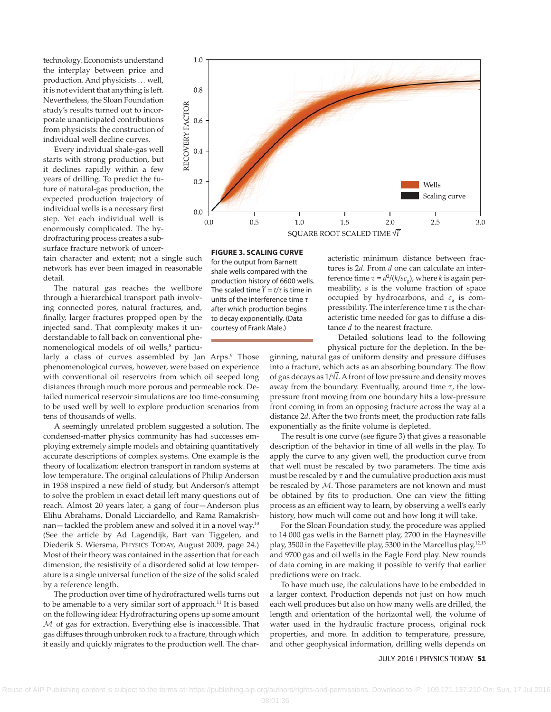technology. Economists understand the interplay between price and production. And physicists … well, it is not evident that anything is left. Nevertheless, the Sloan Foundation study's results turned out to incorporate unanticipated contributions from physicists: the construction of individual well decline curves.

Every individual shale-gas well starts with strong production, but it declines rapidly within a few years of drilling. To predict the future of natural-gas production, the expected production trajectory of individual wells is a necessary first step. Yet each individual well is enormously complicated. The hydrofracturing process creates a subsurface fracture network of uncer-

tain character and extent; not a single such network has ever been imaged in reasonable detail.

The natural gas reaches the wellbore through a hierarchical transport path involving connected pores, natural fractures, and, finally, larger fractures propped open by the injected sand. That complexity makes it understandable to fall back on conventional phenomenological models of oil wells,<sup>8</sup> particu-

larly a class of curves assembled by Jan Arps.<sup>9</sup> Those phenomenological curves, however, were based on experience with conventional oil reservoirs from which oil seeped long distances through much more porous and permeable rock. Detailed numerical reservoir simulations are too time-consuming to be used well by well to explore production scenarios from tens of thousands of wells.

A seemingly unrelated problem suggested a solution. The condensed-matter physics community has had successes employing extremely simple models and obtaining quantitatively accurate descriptions of complex systems. One example is the theory of localization: electron transport in random systems at low temperature. The original calculations of Philip Anderson in 1958 inspired a new field of study, but Anderson's attempt to solve the problem in exact detail left many questions out of reach. Almost 20 years later, a gang of four—Anderson plus Elihu Abrahams, Donald Licciardello, and Rama Ramakrishnan—tackled the problem anew and solved it in a novel way.10 (See the article by Ad Lagendijk, Bart van Tiggelen, and Diederik S. Wiersma, PHYSICS TODAY, August 2009, page 24.) Most of their theory was contained in the assertion that for each dimension, the resistivity of a disordered solid at low temperature is a single universal function of the size of the solid scaled by a reference length.

The production over time of hydrofractured wells turns out to be amenable to a very similar sort of approach.<sup>11</sup> It is based on the following idea: Hydrofracturing opens up some amount M of gas for extraction. Everything else is inaccessible. That gas diffuses through unbroken rock to a fracture, through which it easily and quickly migrates to the production well. The char-



**FIGURE 3. SCALING CURVE**

for the output from Barnett shale wells compared with the production history of 6600 wells. The scaled time *t <sup>~</sup>* <sup>=</sup> *<sup>t</sup>*/*<sup>τ</sup>* is time in units of the interference time *τ* after which production begins to decay exponentially. (Data courtesy of Frank Male.)

acteristic minimum distance between fractures is 2*d*. From *d* one can calculate an interference time  $τ = d<sup>2</sup>/(k/sec<sub>g</sub>)$ , where *k* is again permeability, *s* is the volume fraction of space occupied by hydrocarbons, and  $c<sub>g</sub>$  is compressibility. The interference time *τ* is the characteristic time needed for gas to diffuse a distance *d* to the nearest fracture.

Detailed solutions lead to the following physical picture for the depletion. In the be-

ginning, natural gas of uniform density and pressure diffuses into a fracture, which acts as an absorbing boundary. The flow of gas decays as 1/√‾*t*. A front of low pressure and density moves away from the boundary. Eventually, around time *τ*, the lowpressure front moving from one boundary hits a low-pressure front coming in from an opposing fracture across the way at a distance 2*d*. After the two fronts meet, the production rate falls exponentially as the finite volume is depleted.

The result is one curve (see figure 3) that gives a reasonable description of the behavior in time of all wells in the play. To apply the curve to any given well, the production curve from that well must be rescaled by two parameters. The time axis must be rescaled by *τ* and the cumulative production axis must be rescaled by M. Those parameters are not known and must be obtained by fits to production. One can view the fitting process as an efficient way to learn, by observing a well's early history, how much will come out and how long it will take.

For the Sloan Foundation study, the procedure was applied to 14 000 gas wells in the Barnett play, 2700 in the Haynesville play, 3500 in the Fayetteville play, 5300 in the Marcellus play,<sup>12,13</sup> and 9700 gas and oil wells in the Eagle Ford play. New rounds of data coming in are making it possible to verify that earlier predictions were on track.

To have much use, the calculations have to be embedded in a larger context. Production depends not just on how much each well produces but also on how many wells are drilled, the length and orientation of the horizontal well, the volume of water used in the hydraulic fracture process, original rock properties, and more. In addition to temperature, pressure, and other geophysical information, drilling wells depends on

#### JULY 2016 | **PHYSICS TODAY 51**